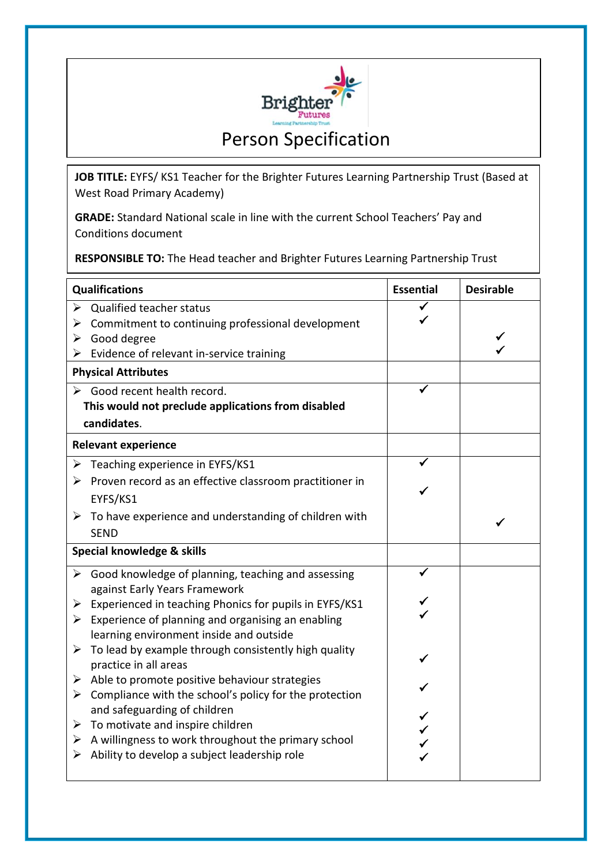

**JOB TITLE:** EYFS/ KS1 Teacher for the Brighter Futures Learning Partnership Trust (Based at West Road Primary Academy)

**GRADE:** Standard National scale in line with the current School Teachers' Pay and Conditions document

**RESPONSIBLE TO:** The Head teacher and Brighter Futures Learning Partnership Trust

| <b>Qualifications</b>                 |                                                                        | <b>Essential</b> | <b>Desirable</b> |  |
|---------------------------------------|------------------------------------------------------------------------|------------------|------------------|--|
|                                       | $\triangleright$ Qualified teacher status                              |                  |                  |  |
| ➤                                     | Commitment to continuing professional development                      |                  |                  |  |
| ➤                                     | Good degree                                                            |                  |                  |  |
|                                       | $\triangleright$ Evidence of relevant in-service training              |                  |                  |  |
| <b>Physical Attributes</b>            |                                                                        |                  |                  |  |
|                                       | $\triangleright$ Good recent health record.                            |                  |                  |  |
|                                       | This would not preclude applications from disabled                     |                  |                  |  |
|                                       | candidates.                                                            |                  |                  |  |
|                                       | <b>Relevant experience</b>                                             |                  |                  |  |
| ➤                                     | Teaching experience in EYFS/KS1                                        |                  |                  |  |
| ➤                                     | Proven record as an effective classroom practitioner in                |                  |                  |  |
|                                       | EYFS/KS1                                                               |                  |                  |  |
|                                       | $\triangleright$ To have experience and understanding of children with |                  |                  |  |
|                                       | <b>SEND</b>                                                            |                  |                  |  |
| <b>Special knowledge &amp; skills</b> |                                                                        |                  |                  |  |
|                                       | $\triangleright$ Good knowledge of planning, teaching and assessing    |                  |                  |  |
|                                       | against Early Years Framework                                          |                  |                  |  |
| ➤                                     | Experienced in teaching Phonics for pupils in EYFS/KS1                 |                  |                  |  |
| ≻                                     | Experience of planning and organising an enabling                      |                  |                  |  |
|                                       | learning environment inside and outside                                |                  |                  |  |
|                                       | $\triangleright$ To lead by example through consistently high quality  |                  |                  |  |
|                                       | practice in all areas                                                  |                  |                  |  |
|                                       | $\triangleright$ Able to promote positive behaviour strategies         |                  |                  |  |
| ➤                                     | Compliance with the school's policy for the protection                 |                  |                  |  |
|                                       | and safeguarding of children                                           |                  |                  |  |
| ➤                                     | To motivate and inspire children                                       |                  |                  |  |
|                                       | $\triangleright$ A willingness to work throughout the primary school   |                  |                  |  |
| ➤                                     | Ability to develop a subject leadership role                           |                  |                  |  |
|                                       |                                                                        |                  |                  |  |